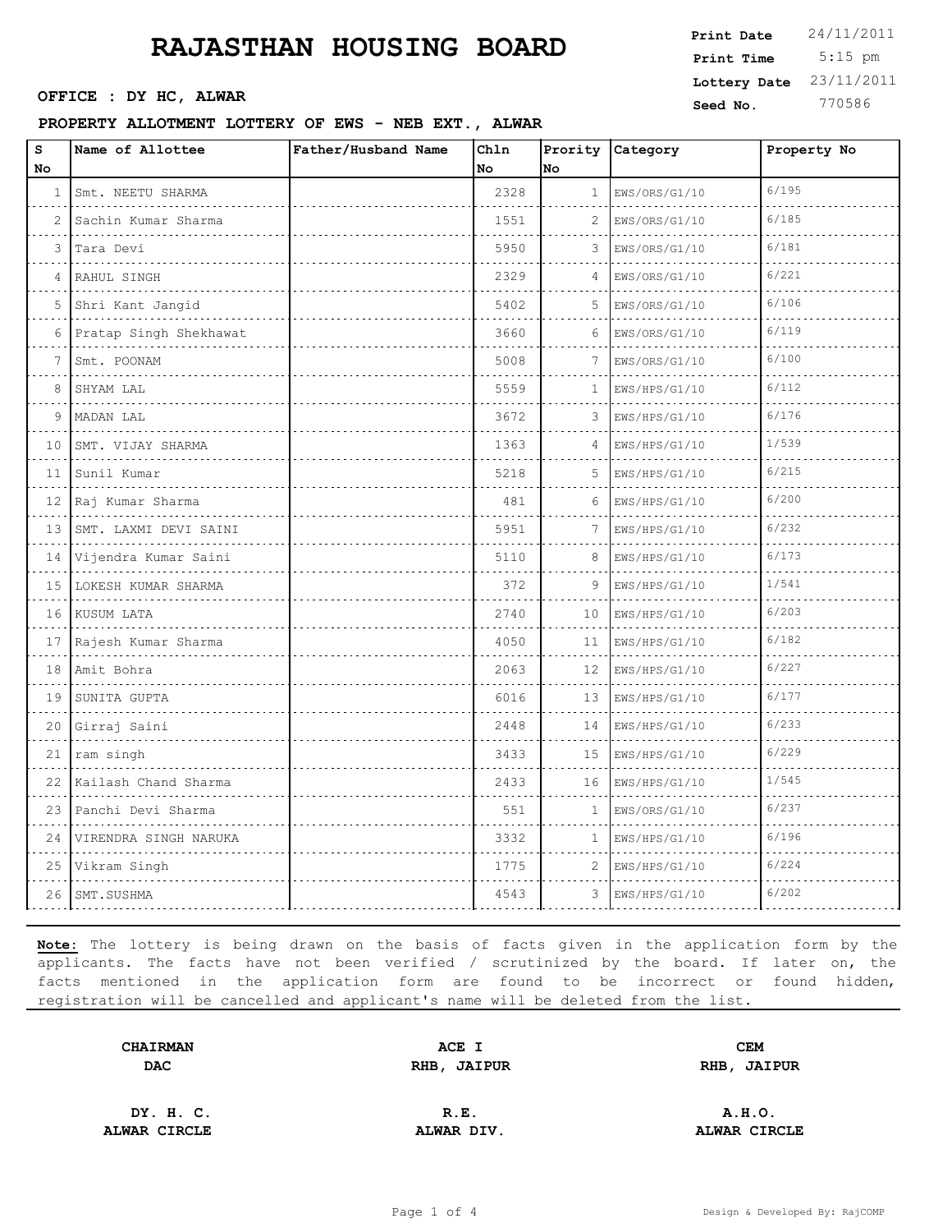#### **PROPERTY ALLOTMENT LOTTERY OF EWS - NEB EXT., ALWAR**

| s<br>No      | Name of Allottee           | Father/Husband Name | Chln<br>No | No           | Prority Category | Property No |
|--------------|----------------------------|---------------------|------------|--------------|------------------|-------------|
|              |                            |                     |            |              |                  | 6/195       |
| $\mathbf{1}$ | Smt. NEETU SHARMA<br>.     |                     | 2328       | $\mathbf{1}$ | EWS/ORS/G1/10    |             |
| 2            | Sachin Kumar Sharma        |                     | 1551       | 2            | EWS/ORS/G1/10    | 6/185       |
| 3            | Tara Devi                  |                     | 5950       | 3            | EWS/ORS/G1/10    | 6/181       |
| 4            | RAHUL SINGH                |                     | 2329       | 4            | EWS/ORS/G1/10    | 6/221       |
| 5            | Shri Kant Jangid           |                     | 5402       | 5            | EWS/ORS/G1/10    | 6/106       |
| 6            | Pratap Singh Shekhawat     |                     | 3660       | 6            | EWS/ORS/G1/10    | 6/119       |
| 7            | Smt. POONAM                |                     | 5008       | 7            | EWS/ORS/G1/10    | 6/100       |
| 8            | SHYAM LAL                  |                     | 5559       | 1            | EWS/HPS/G1/10    | 6/112       |
| 9            | MADAN LAL                  |                     | 3672       | 3            | EWS/HPS/G1/10    | 6/176       |
| 10           | SMT. VIJAY SHARMA          |                     | 1363       | 4            | EWS/HPS/G1/10    | 1/539       |
| 11           | Sunil Kumar                |                     | 5218       | 5            | EWS/HPS/G1/10    | 6/215       |
|              | 12 Raj Kumar Sharma        |                     | 481        | 6            | EWS/HPS/G1/10    | 6/200       |
| 13           | SMT. LAXMI DEVI SAINI<br>. |                     | 5951       | 7            | EWS/HPS/G1/10    | 6/232       |
| 14           | Vijendra Kumar Saini       |                     | 5110       | 8            | EWS/HPS/G1/10    | 6/173       |
| 15           | LOKESH KUMAR SHARMA        |                     | 372        | 9            | EWS/HPS/G1/10    | 1/541       |
| 16           | KUSUM LATA                 |                     | 2740       | 10           | EWS/HPS/G1/10    | 6/203       |
| 17           | Rajesh Kumar Sharma        |                     | 4050       | 11           | EWS/HPS/G1/10    | 6/182       |
| 18           | Amit Bohra<br>.            |                     | 2063       | 12           | EWS/HPS/G1/10    | 6/227       |
| 19           | SUNITA GUPTA               |                     | 6016       | 13           | EWS/HPS/G1/10    | 6/177       |
| 20           | Girraj Saini               |                     | 2448       | 14           | EWS/HPS/G1/10    | 6/233       |
| 21           | ram singh<br>.             |                     | 3433       | 15           | EWS/HPS/G1/10    | 6/229       |
| 22           | Kailash Chand Sharma       |                     | 2433       | 16           | EWS/HPS/G1/10    | 1/545       |
| 23           | Panchi Devi Sharma         |                     | 551        | 1            | EWS/ORS/G1/10    | 6/237       |
| 24           | VIRENDRA SINGH NARUKA      |                     | 3332       | $\mathbf{1}$ | EWS/HPS/G1/10    | 6/196       |
| 25           | Vikram Singh               |                     | 1775       | 2            | EWS/HPS/G1/10    | 6/224       |
| 26           | SMT.SUSHMA                 |                     | 4543       | 3            | EWS/HPS/G1/10    | 6/202       |
|              |                            |                     |            |              |                  |             |

**Note:** The lottery is being drawn on the basis of facts given in the application form by the applicants. The facts have not been verified / scrutinized by the board. If later on, the facts mentioned in the application form are found to be incorrect or found hidden, registration will be cancelled and applicant's name will be deleted from the list.

| <b>CHAIRMAN</b> | ACE I       | CEM         |  |
|-----------------|-------------|-------------|--|
| <b>DAC</b>      | RHB, JAIPUR | RHB, JAIPUR |  |
|                 |             |             |  |

**DY. H. C. R.E. A.H.O. ALWAR CIRCLE ALWAR DIV. ALWAR CIRCLE**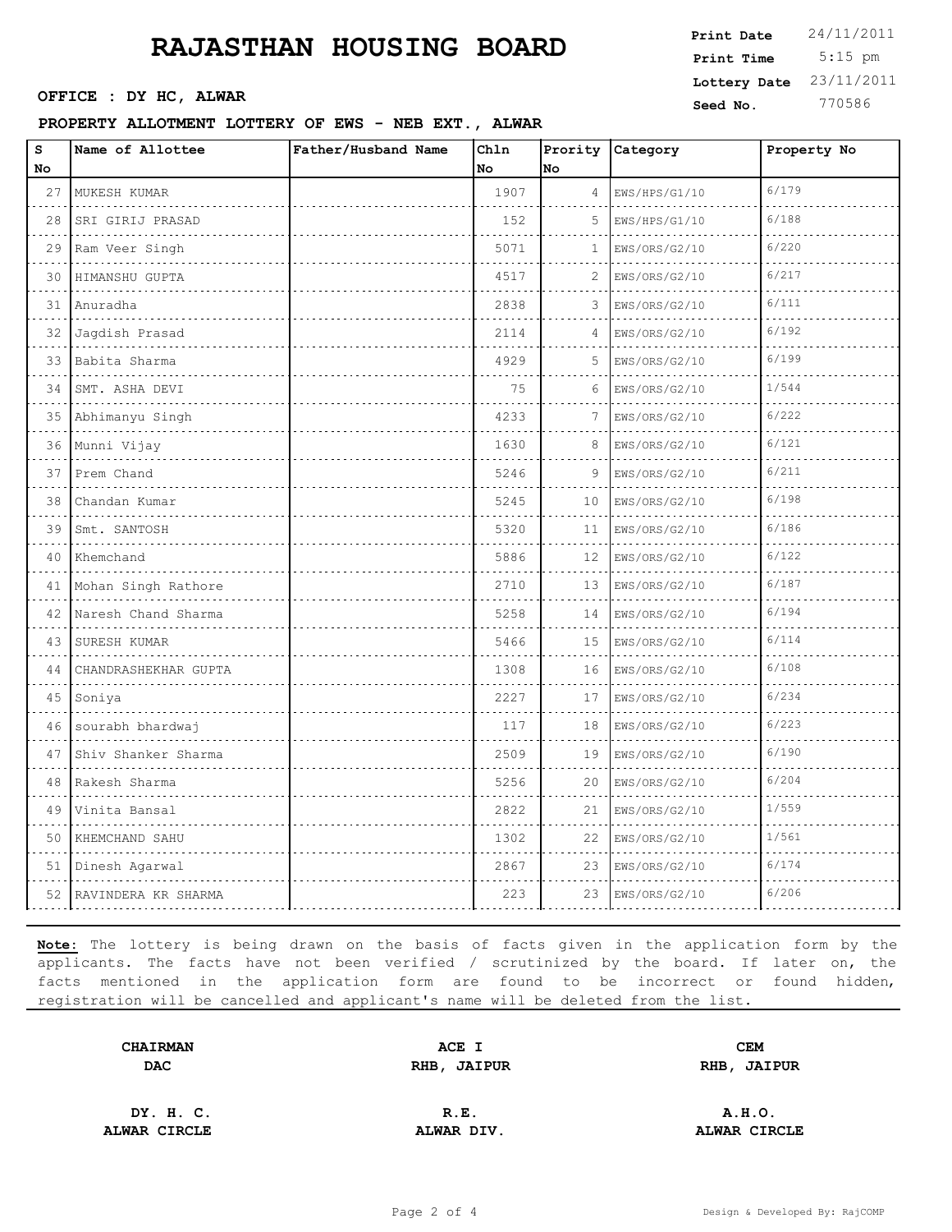OFFICE : DY HC, ALWAR

#### **PROPERTY ALLOTMENT LOTTERY OF EWS - NEB EXT., ALWAR**

| Print Date   | 24/11/2011 |
|--------------|------------|
| Print Time   | $5:15$ pm  |
| Lottery Date | 23/11/2011 |
| Seed No.     | 770586     |

| s<br>No | Name of Allottee      | Father/Husband Name | Chln<br>No | lno. | Prority Category   | Property No |
|---------|-----------------------|---------------------|------------|------|--------------------|-------------|
| 27      | MUKESH KUMAR          |                     | 1907       | 4    | EWS/HPS/G1/10      | 6/179       |
| 28      | .<br>SRI GIRIJ PRASAD |                     | 152        | 5    | .<br>EWS/HPS/G1/10 | 6/188       |
| 29      | Ram Veer Singh        |                     | 5071       | 1    | EWS/ORS/G2/10      | 6/220       |
| 30      | HIMANSHU GUPTA        |                     | 4517       | 2    | EWS/ORS/G2/10      | 6/217       |
| 31      | Anuradha              |                     | 2838       | 3    | EWS/ORS/G2/10      | 6/111       |
| 32      | Jagdish Prasad        |                     | 2114       | 4    | EWS/ORS/G2/10      | 6/192       |
| 33      | Babita Sharma         |                     | 4929       | 5    | EWS/ORS/G2/10      | 6/199       |
| 34      | SMT. ASHA DEVI        |                     | 75         | 6    | EWS/ORS/G2/10      | 1/544       |
| 35      | Abhimanyu Singh       |                     | 4233       | 7    | EWS/ORS/G2/10      | 6/222       |
| 36      | Munni Vijay           |                     | 1630       | 8    | EWS/ORS/G2/10      | 6/121       |
| 37      | Prem Chand            |                     | 5246       | 9    | EWS/ORS/G2/10      | 6/211       |
| 38      | Chandan Kumar<br>.    |                     | 5245       | 10   | EWS/ORS/G2/10      | 6/198       |
| 39      | Smt. SANTOSH          |                     | 5320       | 11   | EWS/ORS/G2/10      | 6/186       |
| 40      | Khemchand             |                     | 5886       | 12   | EWS/ORS/G2/10      | 6/122       |
| 41      | Mohan Singh Rathore   |                     | 2710       | 13   | EWS/ORS/G2/10      | 6/187       |
| 42      | Naresh Chand Sharma   |                     | 5258       | 14   | EWS/ORS/G2/10      | 6/194       |
| 43      | SURESH KUMAR          |                     | 5466       | 15   | EWS/ORS/G2/10      | 6/114       |
| 44      | CHANDRASHEKHAR GUPTA  |                     | 1308       | 16   | EWS/ORS/G2/10      | 6/108       |
| 45      | Soniya                |                     | 2227       | 17   | EWS/ORS/G2/10      | 6/234       |
| 46      | sourabh bhardwaj      |                     | 117        | 18   | EWS/ORS/G2/10      | 6/223       |
| 47      | Shiv Shanker Sharma   |                     | 2509       | 19   | EWS/ORS/G2/10      | 6/190       |
| 48      | Rakesh Sharma         |                     | 5256       | 20   | EWS/ORS/G2/10      | 6/204       |
| 49      | Vinita Bansal         |                     | 2822       | 21   | EWS/ORS/G2/10      | 1/559       |
| 50      | KHEMCHAND SAHU        |                     | 1302       | 22   | EWS/ORS/G2/10      | 1/561       |
| 51      | Dinesh Agarwal        |                     | 2867       | 23   | EWS/ORS/G2/10      | 6/174       |
| 52.     | RAVINDERA KR SHARMA   |                     | 223        | 23   | EWS/ORS/G2/10      | 6/206       |

**Note:** The lottery is being drawn on the basis of facts given in the application form by the applicants. The facts have not been verified / scrutinized by the board. If later on, the facts mentioned in the application form are found to be incorrect or found hidden, registration will be cancelled and applicant's name will be deleted from the list.

| <b>CHAIRMAN</b> | ACE I       | CEM         |  |
|-----------------|-------------|-------------|--|
| <b>DAC</b>      | RHB, JAIPUR | RHB, JAIPUR |  |
|                 |             |             |  |

**DY. H. C. R.E. A.H.O. ALWAR CIRCLE ALWAR DIV. ALWAR CIRCLE**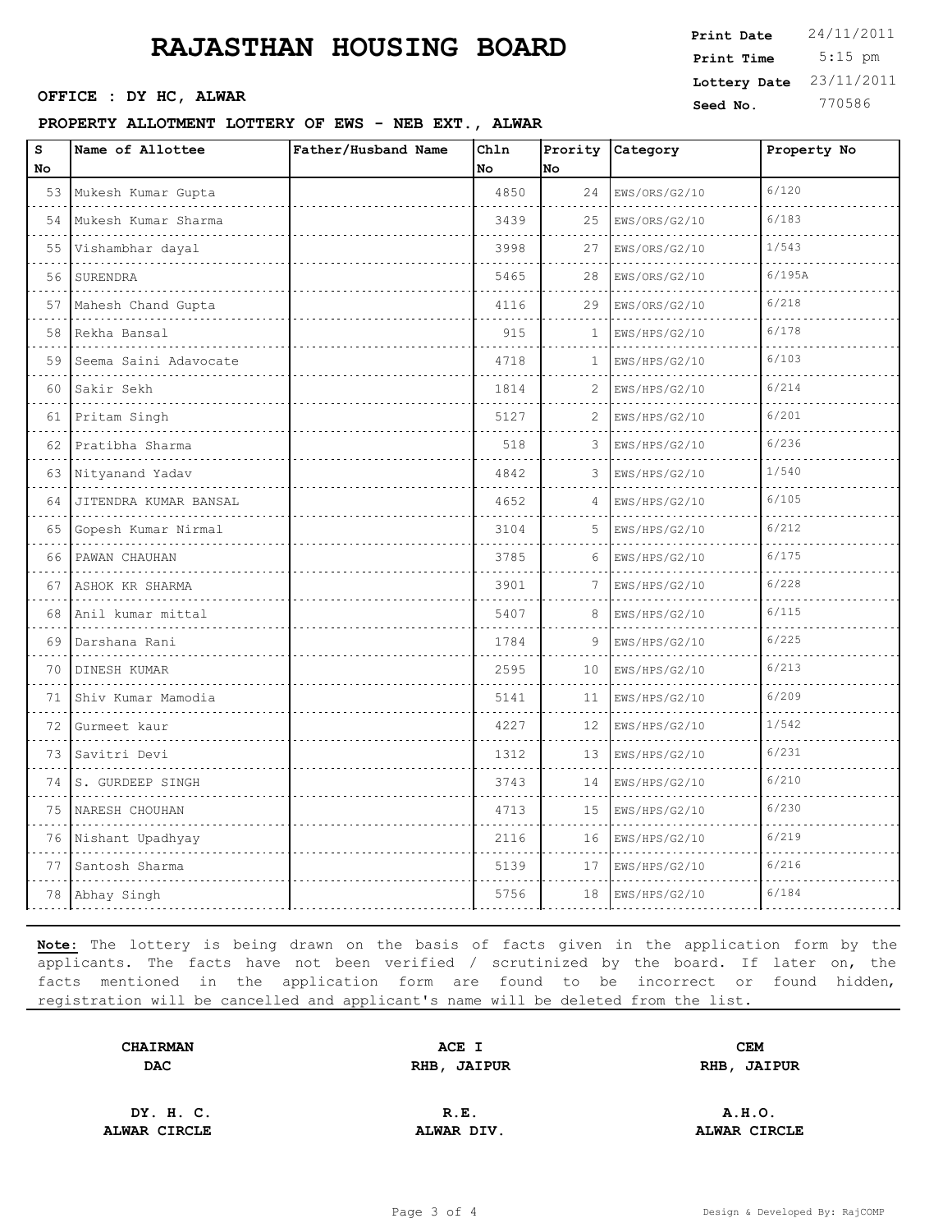OFFICE : DY HC, ALWAR

#### **PROPERTY ALLOTMENT LOTTERY OF EWS - NEB EXT., ALWAR**

| Print Date   | 24/11/2011 |
|--------------|------------|
| Print Time   | $5:15$ pm  |
| Lottery Date | 23/11/2011 |
| Seed No.     | 770586     |

| s<br>No | Name of Allottee      | Father/Husband Name | Chln<br>No | lno. | Prority Category   | Property No |
|---------|-----------------------|---------------------|------------|------|--------------------|-------------|
| 53      | Mukesh Kumar Gupta    |                     | 4850       | 24   | EWS/ORS/G2/10      | 6/120       |
| 54      | Mukesh Kumar Sharma   |                     | 3439       | 25   | .<br>EWS/ORS/G2/10 | 6/183       |
| 55      | Vishambhar dayal      |                     | 3998       | 27   | EWS/ORS/G2/10      | 1/543       |
| 56      | SURENDRA              |                     | 5465       | 28   | EWS/ORS/G2/10      | 6/195A      |
| 57      | Mahesh Chand Gupta    |                     | 4116       | 29   | EWS/ORS/G2/10      | 6/218       |
| 58      | Rekha Bansal          |                     | 915        | 1    | EWS/HPS/G2/10      | 6/178       |
| 59      | Seema Saini Adavocate |                     | 4718       | 1    | EWS/HPS/G2/10      | 6/103       |
| 60      | Sakir Sekh            |                     | 1814       | 2    | EWS/HPS/G2/10      | 6/214       |
| 61      | Pritam Singh          |                     | 5127       | 2    | EWS/HPS/G2/10      | 6/201       |
| 62      | Pratibha Sharma       |                     | 518        | 3    | EWS/HPS/G2/10      | 6/236       |
| 63      | Nityanand Yadav       |                     | 4842       | 3    | EWS/HPS/G2/10      | 1/540       |
| 64      | JITENDRA KUMAR BANSAL |                     | 4652       | 4    | EWS/HPS/G2/10      | 6/105       |
| 65      | Gopesh Kumar Nirmal   |                     | 3104       | 5    | EWS/HPS/G2/10      | 6/212       |
| 66      | PAWAN CHAUHAN         |                     | 3785       | 6    | EWS/HPS/G2/10      | 6/175       |
| 67      | ASHOK KR SHARMA<br>.  |                     | 3901       | 7    | EWS/HPS/G2/10      | 6/228       |
| 68      | Anil kumar mittal     |                     | 5407       | 8    | EWS/HPS/G2/10      | 6/115       |
| 69      | Darshana Rani         |                     | 1784       | 9    | EWS/HPS/G2/10      | 6/225       |
| 70      | DINESH KUMAR          |                     | 2595       | 10   | EWS/HPS/G2/10      | 6/213       |
| 71      | Shiv Kumar Mamodia    |                     | 5141       | 11   | EWS/HPS/G2/10      | 6/209       |
| 72      | Gurmeet kaur          |                     | 4227       | 12   | EWS/HPS/G2/10      | 1/542       |
| 73      | Savitri Devi          |                     | 1312       | 13   | EWS/HPS/G2/10      | 6/231       |
| 74      | S. GURDEEP SINGH      |                     | 3743       | 14   | EWS/HPS/G2/10      | 6/210       |
| 75      | NARESH CHOUHAN        |                     | 4713       | 15   | EWS/HPS/G2/10      | 6/230       |
| 76      | Nishant Upadhyay      |                     | 2116       | 16   | EWS/HPS/G2/10      | 6/219       |
| 77      | Santosh Sharma        |                     | 5139       | 17   | EWS/HPS/G2/10      | 6/216       |
| 78      | Abhay Singh           |                     | 5756       | 18   | EWS/HPS/G2/10      | 6/184       |

**Note:** The lottery is being drawn on the basis of facts given in the application form by the applicants. The facts have not been verified / scrutinized by the board. If later on, the facts mentioned in the application form are found to be incorrect or found hidden, registration will be cancelled and applicant's name will be deleted from the list.

| <b>CHAIRMAN</b>      | ACE I                 | <b>CEM</b>            |
|----------------------|-----------------------|-----------------------|
| <b>DAC</b><br>$\sim$ | <b>JAIPUR</b><br>RHB, | <b>JAIPUR</b><br>RHB, |
|                      |                       |                       |

**ALWAR CIRCLE ALWAR DIV. ALWAR CIRCLE**

**DY. H. C. R.E. A.H.O.**